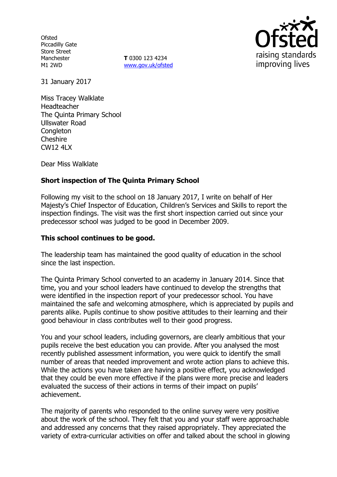**Ofsted** Piccadilly Gate Store Street Manchester M1 2WD

**T** 0300 123 4234 [www.gov.uk/ofsted](http://www.gov.uk/ofsted)



31 January 2017

Miss Tracey Walklate Headteacher The Quinta Primary School Ullswater Road **Congleton** Cheshire CW12 4LX

Dear Miss Walklate

# **Short inspection of The Quinta Primary School**

Following my visit to the school on 18 January 2017, I write on behalf of Her Majesty's Chief Inspector of Education, Children's Services and Skills to report the inspection findings. The visit was the first short inspection carried out since your predecessor school was judged to be good in December 2009.

### **This school continues to be good.**

The leadership team has maintained the good quality of education in the school since the last inspection.

The Quinta Primary School converted to an academy in January 2014. Since that time, you and your school leaders have continued to develop the strengths that were identified in the inspection report of your predecessor school. You have maintained the safe and welcoming atmosphere, which is appreciated by pupils and parents alike. Pupils continue to show positive attitudes to their learning and their good behaviour in class contributes well to their good progress.

You and your school leaders, including governors, are clearly ambitious that your pupils receive the best education you can provide. After you analysed the most recently published assessment information, you were quick to identify the small number of areas that needed improvement and wrote action plans to achieve this. While the actions you have taken are having a positive effect, you acknowledged that they could be even more effective if the plans were more precise and leaders evaluated the success of their actions in terms of their impact on pupils' achievement.

The majority of parents who responded to the online survey were very positive about the work of the school. They felt that you and your staff were approachable and addressed any concerns that they raised appropriately. They appreciated the variety of extra-curricular activities on offer and talked about the school in glowing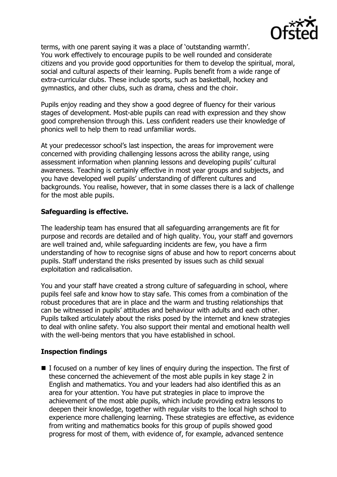

terms, with one parent saying it was a place of 'outstanding warmth'. You work effectively to encourage pupils to be well rounded and considerate citizens and you provide good opportunities for them to develop the spiritual, moral, social and cultural aspects of their learning. Pupils benefit from a wide range of extra-curricular clubs. These include sports, such as basketball, hockey and gymnastics, and other clubs, such as drama, chess and the choir.

Pupils enjoy reading and they show a good degree of fluency for their various stages of development. Most-able pupils can read with expression and they show good comprehension through this. Less confident readers use their knowledge of phonics well to help them to read unfamiliar words.

At your predecessor school's last inspection, the areas for improvement were concerned with providing challenging lessons across the ability range, using assessment information when planning lessons and developing pupils' cultural awareness. Teaching is certainly effective in most year groups and subjects, and you have developed well pupils' understanding of different cultures and backgrounds. You realise, however, that in some classes there is a lack of challenge for the most able pupils.

# **Safeguarding is effective.**

The leadership team has ensured that all safeguarding arrangements are fit for purpose and records are detailed and of high quality. You, your staff and governors are well trained and, while safeguarding incidents are few, you have a firm understanding of how to recognise signs of abuse and how to report concerns about pupils. Staff understand the risks presented by issues such as child sexual exploitation and radicalisation.

You and your staff have created a strong culture of safeguarding in school, where pupils feel safe and know how to stay safe. This comes from a combination of the robust procedures that are in place and the warm and trusting relationships that can be witnessed in pupils' attitudes and behaviour with adults and each other. Pupils talked articulately about the risks posed by the internet and knew strategies to deal with online safety. You also support their mental and emotional health well with the well-being mentors that you have established in school.

# **Inspection findings**

 $\blacksquare$  I focused on a number of key lines of enguiry during the inspection. The first of these concerned the achievement of the most able pupils in key stage 2 in English and mathematics. You and your leaders had also identified this as an area for your attention. You have put strategies in place to improve the achievement of the most able pupils, which include providing extra lessons to deepen their knowledge, together with regular visits to the local high school to experience more challenging learning. These strategies are effective, as evidence from writing and mathematics books for this group of pupils showed good progress for most of them, with evidence of, for example, advanced sentence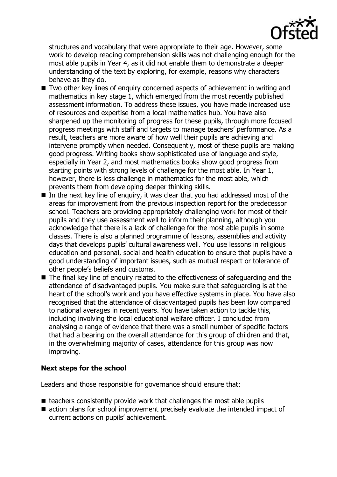

structures and vocabulary that were appropriate to their age. However, some work to develop reading comprehension skills was not challenging enough for the most able pupils in Year 4, as it did not enable them to demonstrate a deeper understanding of the text by exploring, for example, reasons why characters behave as they do.

- Two other key lines of enquiry concerned aspects of achievement in writing and mathematics in key stage 1, which emerged from the most recently published assessment information. To address these issues, you have made increased use of resources and expertise from a local mathematics hub. You have also sharpened up the monitoring of progress for these pupils, through more focused progress meetings with staff and targets to manage teachers' performance. As a result, teachers are more aware of how well their pupils are achieving and intervene promptly when needed. Consequently, most of these pupils are making good progress. Writing books show sophisticated use of language and style, especially in Year 2, and most mathematics books show good progress from starting points with strong levels of challenge for the most able. In Year 1, however, there is less challenge in mathematics for the most able, which prevents them from developing deeper thinking skills.
- $\blacksquare$  In the next key line of enquiry, it was clear that you had addressed most of the areas for improvement from the previous inspection report for the predecessor school. Teachers are providing appropriately challenging work for most of their pupils and they use assessment well to inform their planning, although you acknowledge that there is a lack of challenge for the most able pupils in some classes. There is also a planned programme of lessons, assemblies and activity days that develops pupils' cultural awareness well. You use lessons in religious education and personal, social and health education to ensure that pupils have a good understanding of important issues, such as mutual respect or tolerance of other people's beliefs and customs.
- The final key line of enquiry related to the effectiveness of safeguarding and the attendance of disadvantaged pupils. You make sure that safeguarding is at the heart of the school's work and you have effective systems in place. You have also recognised that the attendance of disadvantaged pupils has been low compared to national averages in recent years. You have taken action to tackle this, including involving the local educational welfare officer. I concluded from analysing a range of evidence that there was a small number of specific factors that had a bearing on the overall attendance for this group of children and that, in the overwhelming majority of cases, attendance for this group was now improving.

### **Next steps for the school**

Leaders and those responsible for governance should ensure that:

- $\blacksquare$  teachers consistently provide work that challenges the most able pupils
- action plans for school improvement precisely evaluate the intended impact of current actions on pupils' achievement.